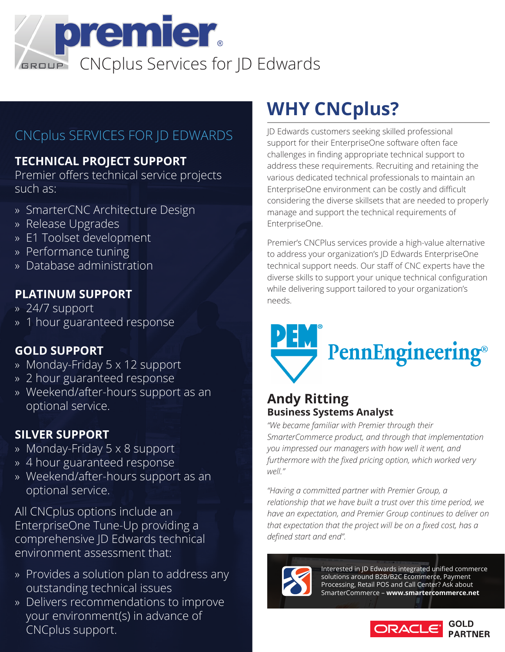

### CNCplus SERVICES FOR JD EDWARDS

### **TECHNICAL PROJECT SUPPORT**

Premier offers technical service projects such as:

- » SmarterCNC Architecture Design
- » Release Upgrades
- » E1 Toolset development
- » Performance tuning
- » Database administration

### **PLATINUM SUPPORT**

- » 24/7 support
- » 1 hour guaranteed response

### **GOLD SUPPORT**

- » Monday-Friday 5 x 12 support
- » 2 hour guaranteed response
- » Weekend/after-hours support as an optional service.

### **SILVER SUPPORT**

- » Monday-Friday 5 x 8 support
- » 4 hour guaranteed response
- » Weekend/after-hours support as an optional service.

All CNCplus options include an EnterpriseOne Tune-Up providing a comprehensive JD Edwards technical environment assessment that:

- » Provides a solution plan to address any outstanding technical issues
- » Delivers recommendations to improve your environment(s) in advance of CNCplus support.

# **WHY CNCplus?**

JD Edwards customers seeking skilled professional support for their EnterpriseOne software often face challenges in finding appropriate technical support to address these requirements. Recruiting and retaining the various dedicated technical professionals to maintain an EnterpriseOne environment can be costly and difficult considering the diverse skillsets that are needed to properly manage and support the technical requirements of EnterpriseOne.

Premier's CNCPlus services provide a high-value alternative to address your organization's JD Edwards EnterpriseOne technical support needs. Our staff of CNC experts have the diverse skills to support your unique technical configuration while delivering support tailored to your organization's needs.



### **Andy Ritting Business Systems Analyst**

*"We became familiar with Premier through their SmarterCommerce product, and through that implementation you impressed our managers with how well it went, and furthermore with the fixed pricing option, which worked very well."*

*"Having a committed partner with Premier Group, a relationship that we have built a trust over this time period, we have an expectation, and Premier Group continues to deliver on that expectation that the project will be on a fixed cost, has a defined start and end".*



Interested in JD Edwards integrated unified commerce solutions around B2B/B2C Ecommerce, Payment Processing, Retail POS and Call Center? Ask about SmarterCommerce – **www.smartercommerce.net**